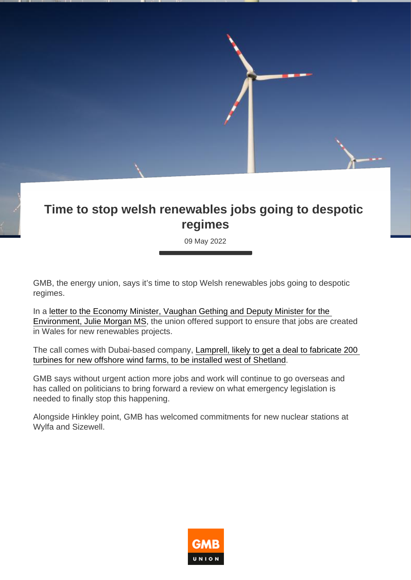## Time to stop welsh renewables jobs going to despotic regimes

09 May 2022

GMB, the energy union, says it's time to stop Welsh renewables jobs going to despotic regimes.

In a [letter to the Economy Minister, Vaughan Gething and Deputy Minister for the](https://www.gmb.org.uk/sites/default/files/GMB union WG letter 28.04.22.pdf)  [Environment, Julie Morgan MS](https://www.gmb.org.uk/sites/default/files/GMB union WG letter 28.04.22.pdf), the union offered support to ensure that jobs are created in Wales for new renewables projects.

The call comes with Dubai-based company, [Lamprell, likely to get a deal to fabricate 200](https://www.thisismoney.co.uk/money/markets/article-10746729/Ministers-urged-intervene-Shetland-windfarm-jobs-UK.html )  [turbines for new offshore wind farms, to be installed west of Shetland](https://www.thisismoney.co.uk/money/markets/article-10746729/Ministers-urged-intervene-Shetland-windfarm-jobs-UK.html ).

GMB says without urgent action more jobs and work will continue to go overseas and has called on politicians to bring forward a review on what emergency legislation is needed to finally stop this happening.

Alongside Hinkley point, GMB has welcomed commitments for new nuclear stations at Wylfa and Sizewell.